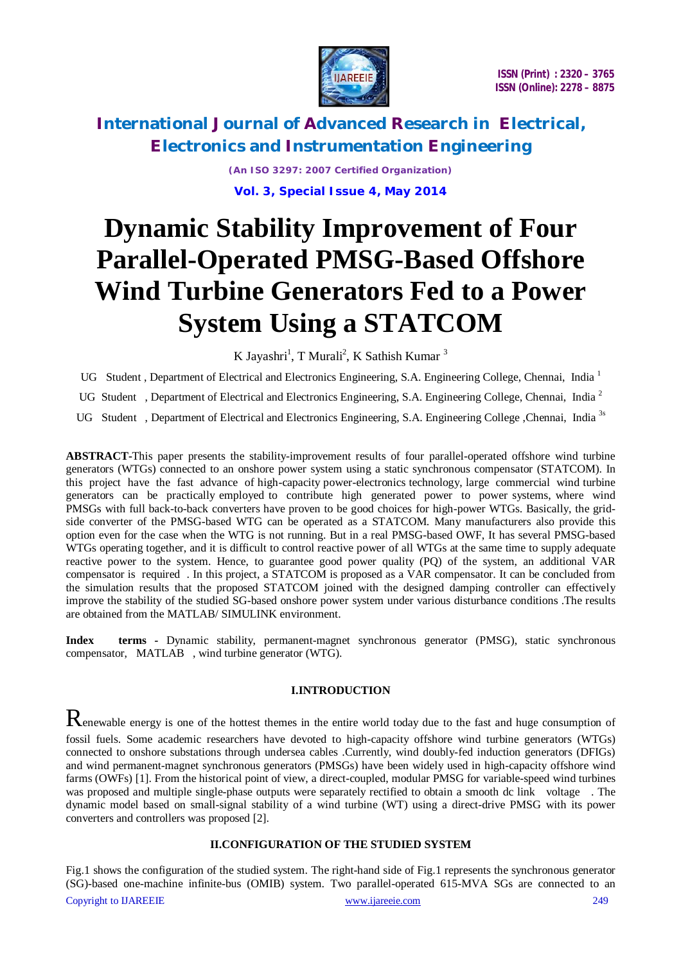

*(An ISO 3297: 2007 Certified Organization)* **Vol. 3, Special Issue 4, May 2014**

# **Dynamic Stability Improvement of Four Parallel-Operated PMSG-Based Offshore Wind Turbine Generators Fed to a Power System Using a STATCOM**

K Jayashri<sup>1</sup>, T Murali<sup>2</sup>, K Sathish Kumar<sup>3</sup>

UG Student, Department of Electrical and Electronics Engineering, S.A. Engineering College, Chennai, India<sup>1</sup>

UG Student, Department of Electrical and Electronics Engineering, S.A. Engineering College, Chennai, India<sup>2</sup>

UG Student, Department of Electrical and Electronics Engineering, S.A. Engineering College ,Chennai. India<sup>3s</sup>

**ABSTRACT-**This paper presents the stability-improvement results of four parallel-operated offshore wind turbine generators (WTGs) connected to an onshore power system using a static synchronous compensator (STATCOM). In this project have the fast advance of high-capacity power-electronics technology, large commercial wind turbine generators can be practically employed to contribute high generated power to power systems, where wind PMSGs with full back-to-back converters have proven to be good choices for high-power WTGs. Basically, the gridside converter of the PMSG-based WTG can be operated as a STATCOM. Many manufacturers also provide this option even for the case when the WTG is not running. But in a real PMSG-based OWF, It has several PMSG-based WTGs operating together, and it is difficult to control reactive power of all WTGs at the same time to supply adequate reactive power to the system. Hence, to guarantee good power quality (PQ) of the system, an additional VAR compensator is required . In this project, a STATCOM is proposed as a VAR compensator. It can be concluded from the simulation results that the proposed STATCOM joined with the designed damping controller can effectively improve the stability of the studied SG-based onshore power system under various disturbance conditions .The results are obtained from the MATLAB/ SIMULINK environment.

**Index terms** *-* Dynamic stability, permanent-magnet synchronous generator (PMSG), static synchronous compensator, MATLAB , wind turbine generator (WTG).

### **I.INTRODUCTION**

Renewable energy is one of the hottest themes in the entire world today due to the fast and huge consumption of fossil fuels. Some academic researchers have devoted to high-capacity offshore wind turbine generators (WTGs) connected to onshore substations through undersea cables .Currently, wind doubly-fed induction generators (DFIGs) and wind permanent-magnet synchronous generators (PMSGs) have been widely used in high-capacity offshore wind farms (OWFs) [1]. From the historical point of view, a direct-coupled, modular PMSG for variable-speed wind turbines was proposed and multiple single-phase outputs were separately rectified to obtain a smooth dc link voltage . The dynamic model based on small-signal stability of a wind turbine (WT) using a direct-drive PMSG with its power converters and controllers was proposed [2].

### **II.CONFIGURATION OF THE STUDIED SYSTEM**

Copyright to IJAREEIE www.ijareeie.com 249 Fig.1 shows the configuration of the studied system. The right-hand side of Fig.1 represents the synchronous generator (SG)-based one-machine infinite-bus (OMIB) system. Two parallel-operated 615-MVA SGs are connected to an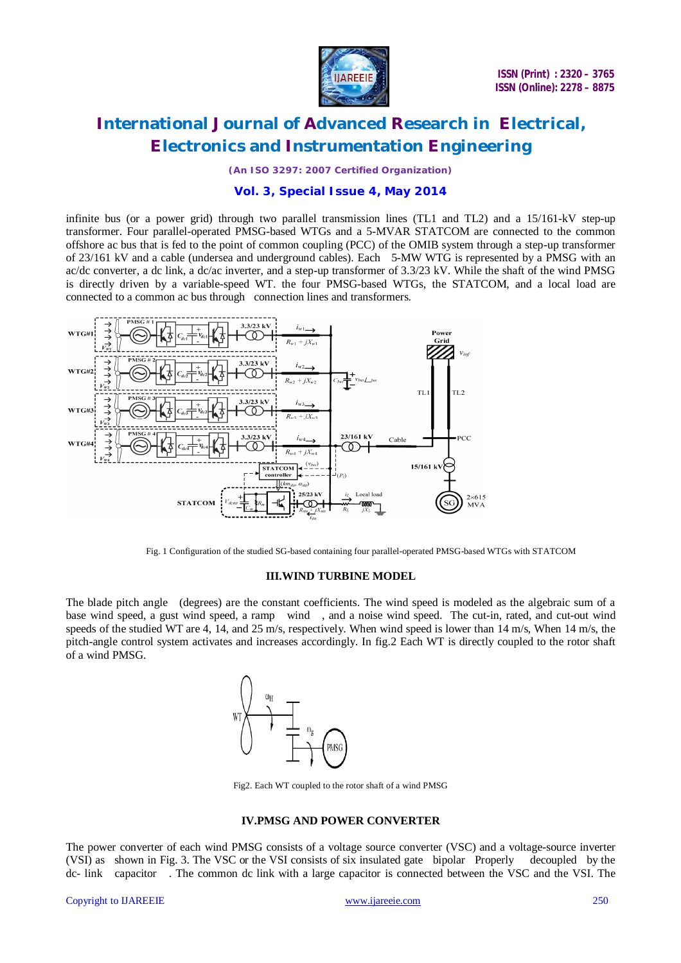

*(An ISO 3297: 2007 Certified Organization)*

### **Vol. 3, Special Issue 4, May 2014**

infinite bus (or a power grid) through two parallel transmission lines (TL1 and TL2) and a 15/161-kV step-up transformer. Four parallel-operated PMSG-based WTGs and a 5-MVAR STATCOM are connected to the common offshore ac bus that is fed to the point of common coupling (PCC) of the OMIB system through a step-up transformer of 23/161 kV and a cable (undersea and underground cables). Each 5-MW WTG is represented by a PMSG with an ac/dc converter, a dc link, a dc/ac inverter, and a step-up transformer of 3.3/23 kV. While the shaft of the wind PMSG is directly driven by a variable-speed WT. the four PMSG-based WTGs, the STATCOM, and a local load are connected to a common ac bus through connection lines and transformers.



Fig. 1 Configuration of the studied SG-based containing four parallel-operated PMSG-based WTGs with STATCOM

#### **III.WIND TURBINE MODEL**

The blade pitch angle (degrees) are the constant coefficients. The wind speed is modeled as the algebraic sum of a base wind speed, a gust wind speed, a ramp wind , and a noise wind speed. The cut-in, rated, and cut-out wind speeds of the studied WT are 4, 14, and 25 m/s, respectively. When wind speed is lower than 14 m/s, When 14 m/s, the pitch-angle control system activates and increases accordingly. In fig.2 Each WT is directly coupled to the rotor shaft of a wind PMSG.



Fig2. Each WT coupled to the rotor shaft of a wind PMSG

### **IV.PMSG AND POWER CONVERTER**

The power converter of each wind PMSG consists of a voltage source converter (VSC) and a voltage-source inverter (VSI) as shown in Fig. 3. The VSC or the VSI consists of six insulated gate bipolar Properly decoupled by the dc- link capacitor . The common dc link with a large capacitor is connected between the VSC and the VSI. The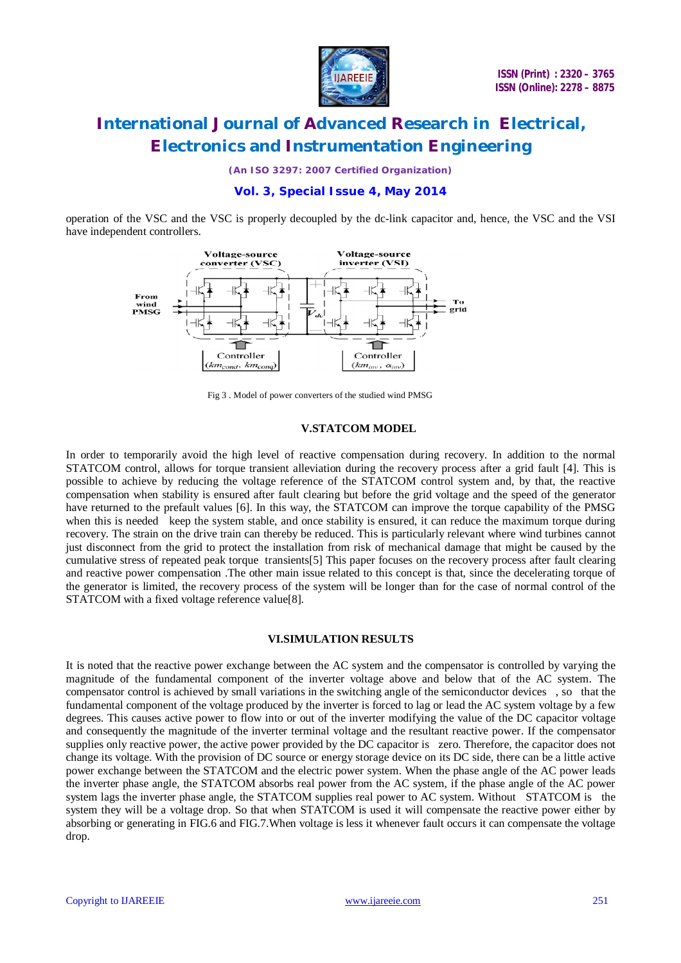

*(An ISO 3297: 2007 Certified Organization)*

## **Vol. 3, Special Issue 4, May 2014**

operation of the VSC and the VSC is properly decoupled by the dc-link capacitor and, hence, the VSC and the VSI have independent controllers.



Fig 3 . Model of power converters of the studied wind PMSG

#### **V.STATCOM MODEL**

In order to temporarily avoid the high level of reactive compensation during recovery. In addition to the normal STATCOM control, allows for torque transient alleviation during the recovery process after a grid fault [4]. This is possible to achieve by reducing the voltage reference of the STATCOM control system and, by that, the reactive compensation when stability is ensured after fault clearing but before the grid voltage and the speed of the generator have returned to the prefault values [6]. In this way, the STATCOM can improve the torque capability of the PMSG when this is needed keep the system stable, and once stability is ensured, it can reduce the maximum torque during recovery. The strain on the drive train can thereby be reduced. This is particularly relevant where wind turbines cannot just disconnect from the grid to protect the installation from risk of mechanical damage that might be caused by the cumulative stress of repeated peak torque transients[5] This paper focuses on the recovery process after fault clearing and reactive power compensation .The other main issue related to this concept is that, since the decelerating torque of the generator is limited, the recovery process of the system will be longer than for the case of normal control of the STATCOM with a fixed voltage reference value[8].

### **VI.SIMULATION RESULTS**

It is noted that the reactive power exchange between the AC system and the compensator is controlled by varying the magnitude of the fundamental component of the inverter voltage above and below that of the AC system. The compensator control is achieved by small variations in the switching angle of the semiconductor devices , so that the fundamental component of the voltage produced by the inverter is forced to lag or lead the AC system voltage by a few degrees. This causes active power to flow into or out of the inverter modifying the value of the DC capacitor voltage and consequently the magnitude of the inverter terminal voltage and the resultant reactive power. If the compensator supplies only reactive power, the active power provided by the DC capacitor is zero. Therefore, the capacitor does not change its voltage. With the provision of DC source or energy storage device on its DC side, there can be a little active power exchange between the STATCOM and the electric power system. When the phase angle of the AC power leads the inverter phase angle, the STATCOM absorbs real power from the AC system, if the phase angle of the AC power system lags the inverter phase angle, the STATCOM supplies real power to AC system. Without STATCOM is the system they will be a voltage drop. So that when STATCOM is used it will compensate the reactive power either by absorbing or generating in FIG.6 and FIG.7.When voltage is less it whenever fault occurs it can compensate the voltage drop.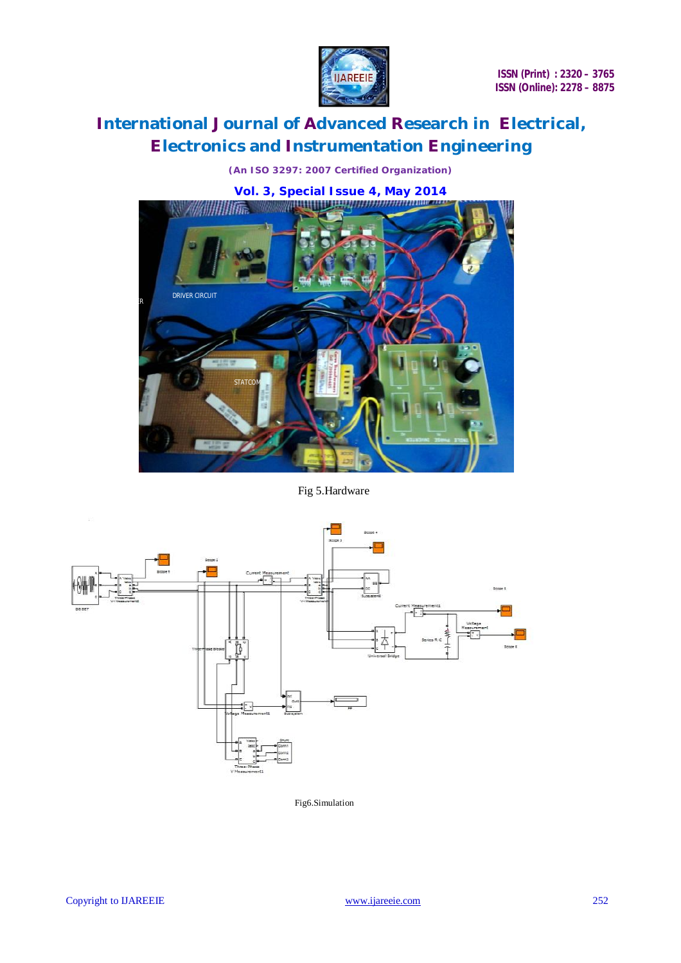

*(An ISO 3297: 2007 Certified Organization)*



Fig 5.Hardware



Fig6.Simulation